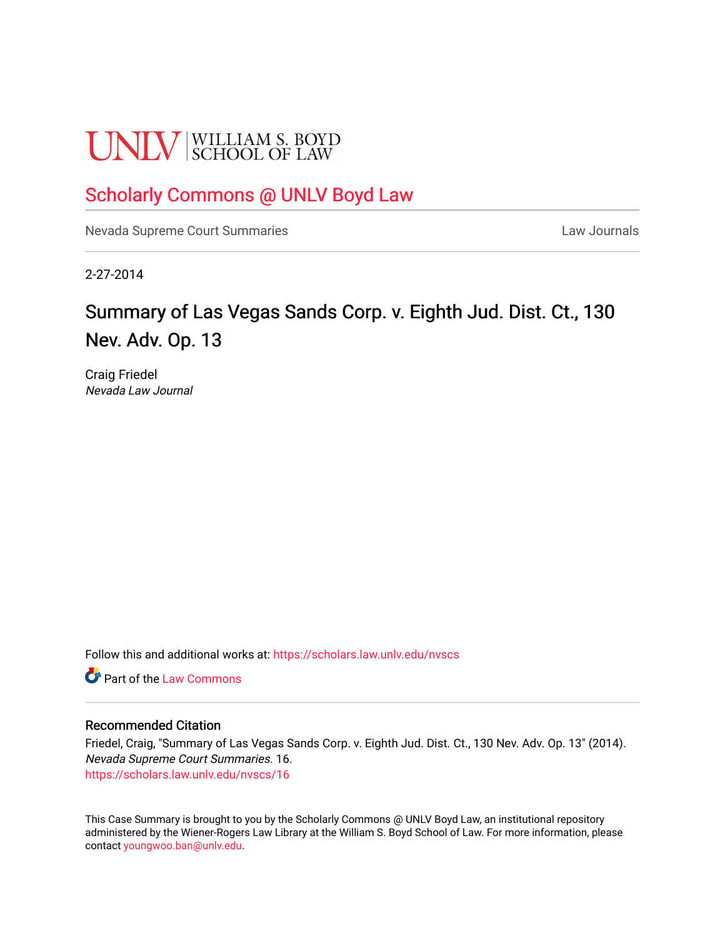# **UNLV** SCHOOL OF LAW

# [Scholarly Commons @ UNLV Boyd Law](https://scholars.law.unlv.edu/)

[Nevada Supreme Court Summaries](https://scholars.law.unlv.edu/nvscs) **Law Journals** Law Journals

2-27-2014

# Summary of Las Vegas Sands Corp. v. Eighth Jud. Dist. Ct., 130 Nev. Adv. Op. 13

Craig Friedel Nevada Law Journal

Follow this and additional works at: [https://scholars.law.unlv.edu/nvscs](https://scholars.law.unlv.edu/nvscs?utm_source=scholars.law.unlv.edu%2Fnvscs%2F16&utm_medium=PDF&utm_campaign=PDFCoverPages)

**C** Part of the [Law Commons](http://network.bepress.com/hgg/discipline/578?utm_source=scholars.law.unlv.edu%2Fnvscs%2F16&utm_medium=PDF&utm_campaign=PDFCoverPages)

## Recommended Citation

Friedel, Craig, "Summary of Las Vegas Sands Corp. v. Eighth Jud. Dist. Ct., 130 Nev. Adv. Op. 13" (2014). Nevada Supreme Court Summaries. 16. [https://scholars.law.unlv.edu/nvscs/16](https://scholars.law.unlv.edu/nvscs/16?utm_source=scholars.law.unlv.edu%2Fnvscs%2F16&utm_medium=PDF&utm_campaign=PDFCoverPages) 

This Case Summary is brought to you by the Scholarly Commons @ UNLV Boyd Law, an institutional repository administered by the Wiener-Rogers Law Library at the William S. Boyd School of Law. For more information, please contact [youngwoo.ban@unlv.edu](mailto:youngwoo.ban@unlv.edu).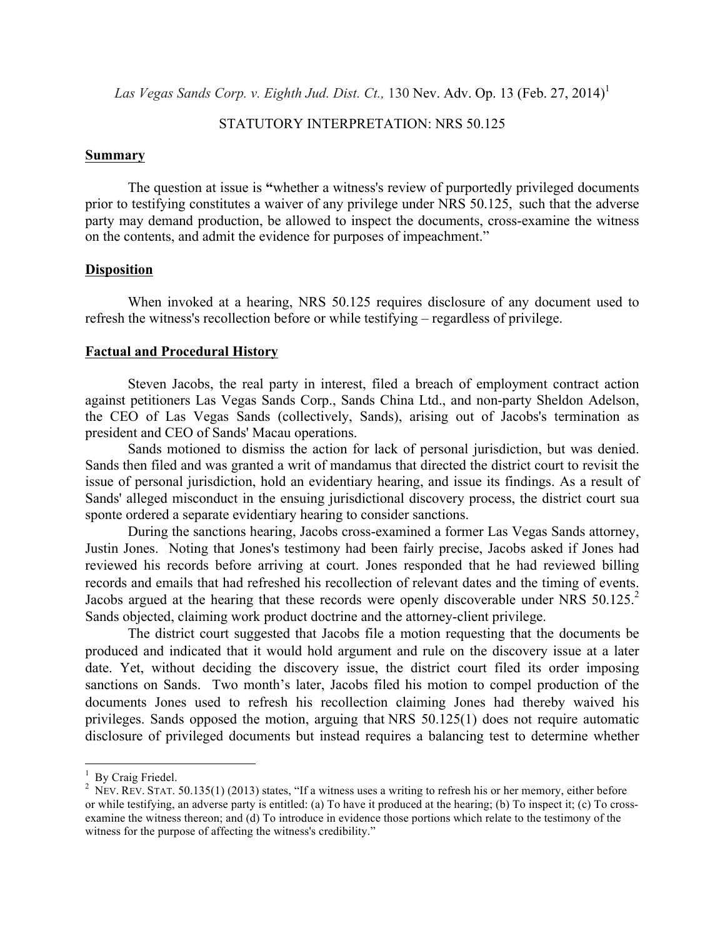*Las Vegas Sands Corp. v. Eighth Jud. Dist. Ct.,* 130 Nev. Adv. Op. 13 (Feb. 27, 2014) 1

# STATUTORY INTERPRETATION: NRS 50.125

## **Summary**

The question at issue is **"**whether a witness's review of purportedly privileged documents prior to testifying constitutes a waiver of any privilege under NRS 50.125, such that the adverse party may demand production, be allowed to inspect the documents, cross-examine the witness on the contents, and admit the evidence for purposes of impeachment."

## **Disposition**

When invoked at a hearing, NRS 50.125 requires disclosure of any document used to refresh the witness's recollection before or while testifying – regardless of privilege.

# **Factual and Procedural History**

Steven Jacobs, the real party in interest, filed a breach of employment contract action against petitioners Las Vegas Sands Corp., Sands China Ltd., and non-party Sheldon Adelson, the CEO of Las Vegas Sands (collectively, Sands), arising out of Jacobs's termination as president and CEO of Sands' Macau operations.

Sands motioned to dismiss the action for lack of personal jurisdiction, but was denied. Sands then filed and was granted a writ of mandamus that directed the district court to revisit the issue of personal jurisdiction, hold an evidentiary hearing, and issue its findings. As a result of Sands' alleged misconduct in the ensuing jurisdictional discovery process, the district court sua sponte ordered a separate evidentiary hearing to consider sanctions.

During the sanctions hearing, Jacobs cross-examined a former Las Vegas Sands attorney, Justin Jones. Noting that Jones's testimony had been fairly precise, Jacobs asked if Jones had reviewed his records before arriving at court. Jones responded that he had reviewed billing records and emails that had refreshed his recollection of relevant dates and the timing of events. Jacobs argued at the hearing that these records were openly discoverable under NRS 50.125.<sup>2</sup> Sands objected, claiming work product doctrine and the attorney-client privilege.

The district court suggested that Jacobs file a motion requesting that the documents be produced and indicated that it would hold argument and rule on the discovery issue at a later date. Yet, without deciding the discovery issue, the district court filed its order imposing sanctions on Sands. Two month's later, Jacobs filed his motion to compel production of the documents Jones used to refresh his recollection claiming Jones had thereby waived his privileges. Sands opposed the motion, arguing that NRS 50.125(1) does not require automatic disclosure of privileged documents but instead requires a balancing test to determine whether

<u> 1989 - Johann Stein, markin film yn y breninn y breninn y breninn y breninn y breninn y breninn y breninn y b</u>

 $1$  By Craig Friedel.

<sup>&</sup>lt;sup>2</sup> NEV. REV. STAT. 50.135(1) (2013) states, "If a witness uses a writing to refresh his or her memory, either before or while testifying, an adverse party is entitled: (a) To have it produced at the hearing; (b) To inspect it; (c) To crossexamine the witness thereon; and (d) To introduce in evidence those portions which relate to the testimony of the witness for the purpose of affecting the witness's credibility."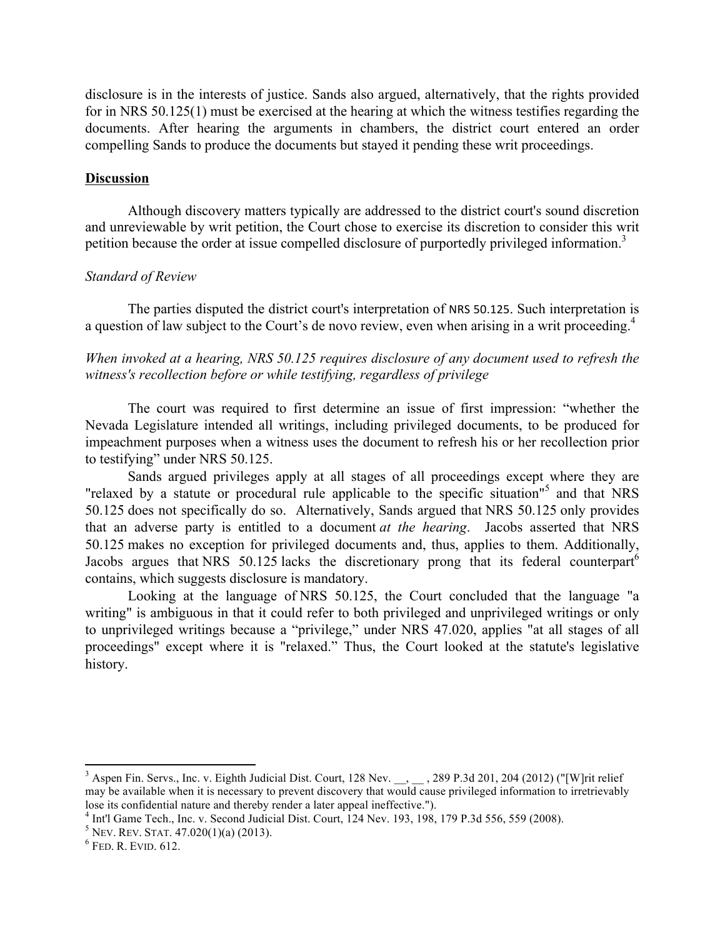disclosure is in the interests of justice. Sands also argued, alternatively, that the rights provided for in NRS 50.125(1) must be exercised at the hearing at which the witness testifies regarding the documents. After hearing the arguments in chambers, the district court entered an order compelling Sands to produce the documents but stayed it pending these writ proceedings.

#### **Discussion**

Although discovery matters typically are addressed to the district court's sound discretion and unreviewable by writ petition, the Court chose to exercise its discretion to consider this writ petition because the order at issue compelled disclosure of purportedly privileged information.<sup>3</sup>

### *Standard of Review*

The parties disputed the district court's interpretation of NRS 50.125. Such interpretation is a question of law subject to the Court's de novo review, even when arising in a writ proceeding.<sup>4</sup>

*When invoked at a hearing, NRS 50.125 requires disclosure of any document used to refresh the witness's recollection before or while testifying, regardless of privilege* 

The court was required to first determine an issue of first impression: "whether the Nevada Legislature intended all writings, including privileged documents, to be produced for impeachment purposes when a witness uses the document to refresh his or her recollection prior to testifying" under NRS 50.125.

Sands argued privileges apply at all stages of all proceedings except where they are "relaxed by a statute or procedural rule applicable to the specific situation"<sup>5</sup> and that NRS 50.125 does not specifically do so. Alternatively, Sands argued that NRS 50.125 only provides that an adverse party is entitled to a document *at the hearing*. Jacobs asserted that NRS 50.125 makes no exception for privileged documents and, thus, applies to them. Additionally, Jacobs argues that NRS 50.125 lacks the discretionary prong that its federal counterpart<sup>6</sup> contains, which suggests disclosure is mandatory.

Looking at the language of NRS 50.125, the Court concluded that the language "a writing" is ambiguous in that it could refer to both privileged and unprivileged writings or only to unprivileged writings because a "privilege," under NRS 47.020, applies "at all stages of all proceedings" except where it is "relaxed." Thus, the Court looked at the statute's legislative history.

<u> 1989 - Johann Stein, markin film yn y breninn y breninn y breninn y breninn y breninn y breninn y breninn y b</u>

 $3$  Aspen Fin. Servs., Inc. v. Eighth Judicial Dist. Court, 128 Nev.  $\,$ ,  $\,$ , 289 P.3d 201, 204 (2012) ("[W]rit relief may be available when it is necessary to prevent discovery that would cause privileged information to irretrievably lose its confidential nature and thereby render a later appeal ineffective.").

<sup>&</sup>lt;sup>4</sup> Int'l Game Tech., Inc. v. Second Judicial Dist. Court, 124 Nev. 193, 198, 179 P.3d 556, 559 (2008).<br><sup>5</sup> NEV. REV. STAT. 47.020(1)(a) (2013). <sup>6</sup> FED. R. EVID. 612.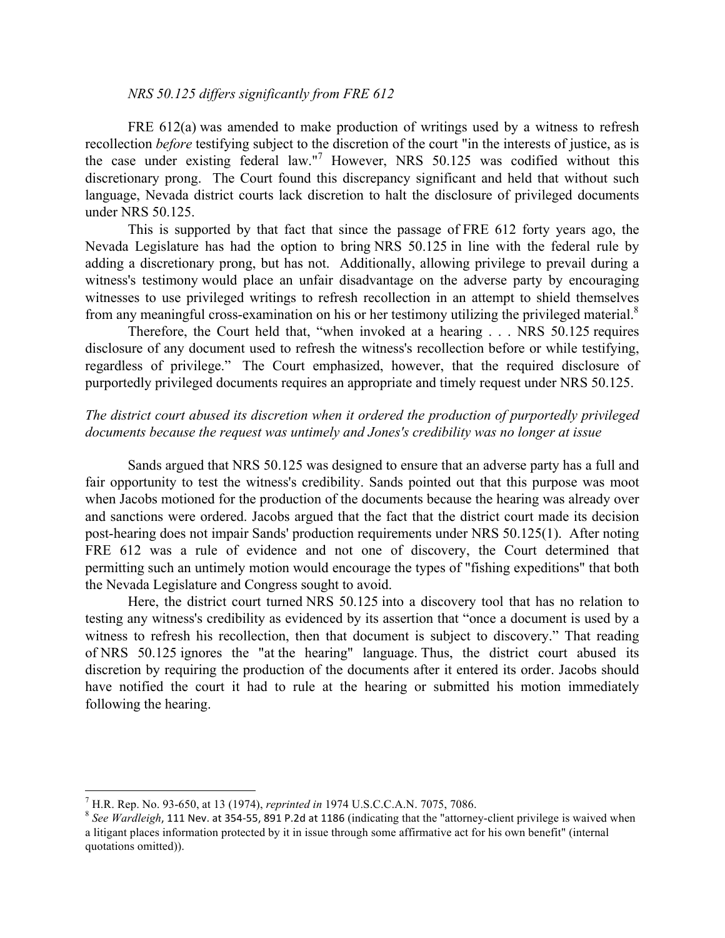## *NRS 50.125 differs significantly from FRE 612*

FRE 612(a) was amended to make production of writings used by a witness to refresh recollection *before* testifying subject to the discretion of the court "in the interests of justice, as is the case under existing federal law."<sup>7</sup> However, NRS 50.125 was codified without this discretionary prong. The Court found this discrepancy significant and held that without such language, Nevada district courts lack discretion to halt the disclosure of privileged documents under NRS 50.125.

This is supported by that fact that since the passage of FRE 612 forty years ago, the Nevada Legislature has had the option to bring NRS 50.125 in line with the federal rule by adding a discretionary prong, but has not. Additionally, allowing privilege to prevail during a witness's testimony would place an unfair disadvantage on the adverse party by encouraging witnesses to use privileged writings to refresh recollection in an attempt to shield themselves from any meaningful cross-examination on his or her testimony utilizing the privileged material.8

Therefore, the Court held that, "when invoked at a hearing . . . NRS 50.125 requires disclosure of any document used to refresh the witness's recollection before or while testifying, regardless of privilege." The Court emphasized, however, that the required disclosure of purportedly privileged documents requires an appropriate and timely request under NRS 50.125.

# *The district court abused its discretion when it ordered the production of purportedly privileged documents because the request was untimely and Jones's credibility was no longer at issue*

Sands argued that NRS 50.125 was designed to ensure that an adverse party has a full and fair opportunity to test the witness's credibility. Sands pointed out that this purpose was moot when Jacobs motioned for the production of the documents because the hearing was already over and sanctions were ordered. Jacobs argued that the fact that the district court made its decision post-hearing does not impair Sands' production requirements under NRS 50.125(1). After noting FRE 612 was a rule of evidence and not one of discovery, the Court determined that permitting such an untimely motion would encourage the types of "fishing expeditions" that both the Nevada Legislature and Congress sought to avoid.

Here, the district court turned NRS 50.125 into a discovery tool that has no relation to testing any witness's credibility as evidenced by its assertion that "once a document is used by a witness to refresh his recollection, then that document is subject to discovery." That reading of NRS 50.125 ignores the "at the hearing" language. Thus, the district court abused its discretion by requiring the production of the documents after it entered its order. Jacobs should have notified the court it had to rule at the hearing or submitted his motion immediately following the hearing.

<u> 1989 - Johann Stein, markin film yn y breninn y breninn y breninn y breninn y breninn y breninn y breninn y b</u>

<sup>7</sup> H.R. Rep. No. 93-650, at 13 (1974), *reprinted in* 1974 U.S.C.C.A.N. 7075, 7086.

<sup>&</sup>lt;sup>8</sup> See Wardleigh, 111 Nev. at 354-55, 891 P.2d at 1186 (indicating that the "attorney-client privilege is waived when a litigant places information protected by it in issue through some affirmative act for his own benefit" (internal quotations omitted)).